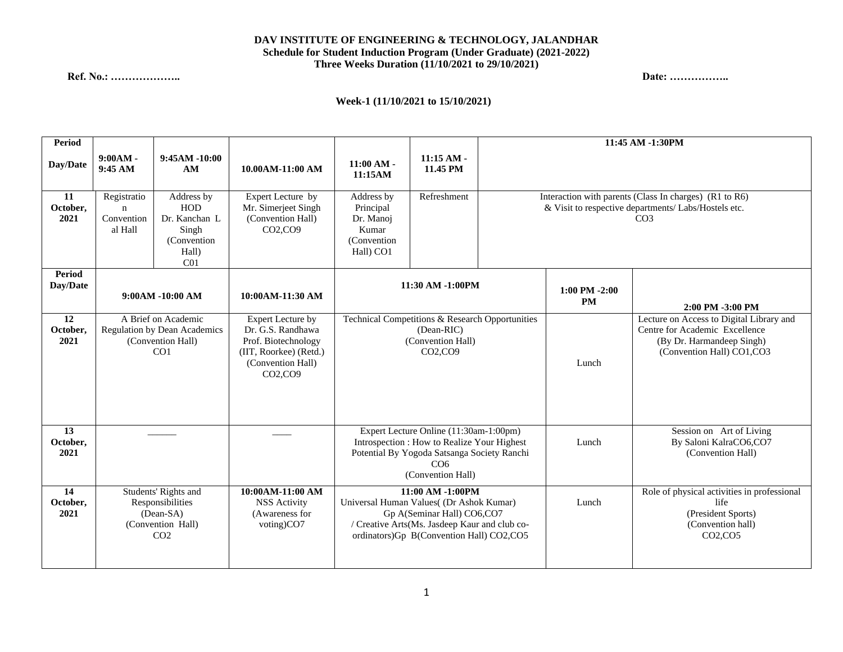## **DAV INSTITUTE OF ENGINEERING & TECHNOLOGY, JALANDHAR Schedule for Student Induction Program (Under Graduate) (2021-2022) Three Weeks Duration (11/10/2021 to 29/10/2021)**

## **Ref. No.: ……………….. Date: ……………..**

## **Week-1 (11/10/2021 to 15/10/2021)**

| Period                 |                                                                                                 |                                                                                         |                                                                                                                                                          | 11:45 AM -1:30PM                                                                                                                                                                            |                          |                                                                                                                                   |                                                                                                            |                                                                                                                                       |
|------------------------|-------------------------------------------------------------------------------------------------|-----------------------------------------------------------------------------------------|----------------------------------------------------------------------------------------------------------------------------------------------------------|---------------------------------------------------------------------------------------------------------------------------------------------------------------------------------------------|--------------------------|-----------------------------------------------------------------------------------------------------------------------------------|------------------------------------------------------------------------------------------------------------|---------------------------------------------------------------------------------------------------------------------------------------|
| Day/Date               | $9:00AM -$<br>9:45 AM                                                                           | $9:45AM - 10:00$<br>AM                                                                  | 10.00AM-11:00 AM                                                                                                                                         | $11:00 AM -$<br>11:15AM                                                                                                                                                                     | $11:15$ AM -<br>11.45 PM |                                                                                                                                   |                                                                                                            |                                                                                                                                       |
| 11<br>October.<br>2021 | Registratio<br>$\mathbf n$<br>Convention<br>al Hall                                             | Address by<br>HOD<br>Dr. Kanchan L<br>Singh<br>(Convention)<br>Hall)<br>CO <sub>1</sub> | Expert Lecture by<br>Mr. Simerjeet Singh<br>(Convention Hall)<br>CO2,CO9                                                                                 | Address by<br>Principal<br>Dr. Manoj<br>Kumar<br>(Convention)<br>Hall) CO1                                                                                                                  | Refreshment              | Interaction with parents (Class In charges) (R1 to R6)<br>& Visit to respective departments/ Labs/Hostels etc.<br>CO <sub>3</sub> |                                                                                                            |                                                                                                                                       |
| Period<br>Day/Date     | $9:00AM - 10:00 AM$                                                                             |                                                                                         | 10:00AM-11:30 AM                                                                                                                                         | 11:30 AM -1:00PM                                                                                                                                                                            |                          |                                                                                                                                   | $1:00$ PM $-2:00$<br><b>PM</b>                                                                             | 2:00 PM -3:00 PM                                                                                                                      |
| 12<br>October,<br>2021 | A Brief on Academic<br>Regulation by Dean Academics<br>(Convention Hall)<br>CO <sub>1</sub>     |                                                                                         | <b>Expert Lecture by</b><br>Dr. G.S. Randhawa<br>Prof. Biotechnology<br>(IIT, Roorkee) (Retd.)<br>(Convention Hall)<br>CO <sub>2</sub> , CO <sub>9</sub> | Technical Competitions & Research Opportunities<br>(Dean-RIC)<br>(Convention Hall)<br>CO2,CO9                                                                                               |                          |                                                                                                                                   | Lunch                                                                                                      | Lecture on Access to Digital Library and<br>Centre for Academic Excellence<br>(By Dr. Harmandeep Singh)<br>(Convention Hall) CO1, CO3 |
| 13<br>October,<br>2021 |                                                                                                 |                                                                                         |                                                                                                                                                          | Expert Lecture Online (11:30am-1:00pm)<br>Introspection : How to Realize Your Highest<br>Potential By Yogoda Satsanga Society Ranchi<br>CO6<br>(Convention Hall)                            |                          | Lunch                                                                                                                             | Session on Art of Living<br>By Saloni KalraCO6,CO7<br>(Convention Hall)                                    |                                                                                                                                       |
| 14<br>October,<br>2021 | Students' Rights and<br>Responsibilities<br>$(Dean-SA)$<br>(Convention Hall)<br>CO <sub>2</sub> |                                                                                         | 10:00AM-11:00 AM<br><b>NSS Activity</b><br>(Awareness for<br>voting)CO7                                                                                  | $11:00$ AM $-1:00$ PM<br>Universal Human Values((Dr Ashok Kumar)<br>Gp A(Seminar Hall) CO6,CO7<br>/ Creative Arts(Ms. Jasdeep Kaur and club co-<br>ordinators)Gp B(Convention Hall) CO2,CO5 |                          | Lunch                                                                                                                             | Role of physical activities in professional<br>life<br>(President Sports)<br>(Convention hall)<br>CO2, CO5 |                                                                                                                                       |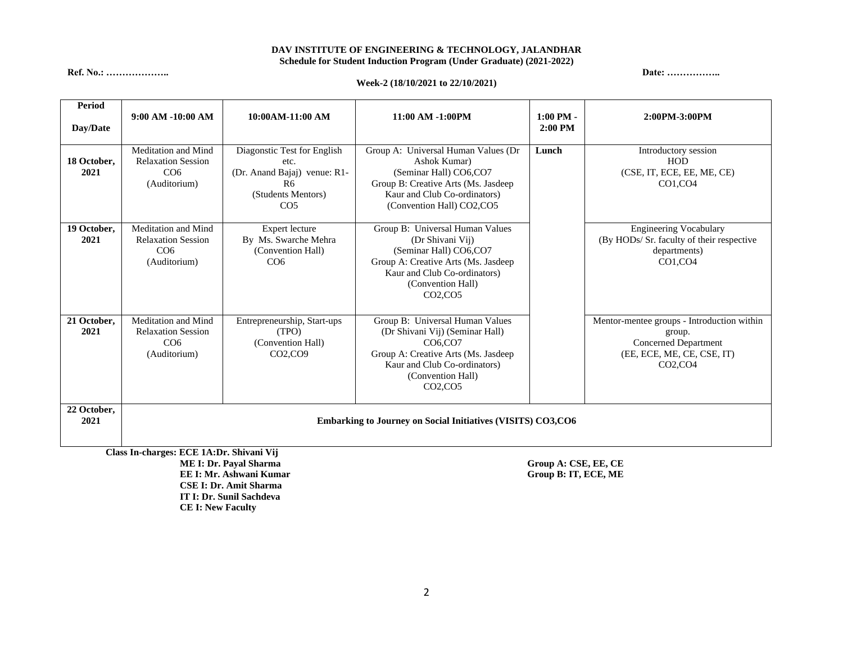### **DAV INSTITUTE OF ENGINEERING & TECHNOLOGY, JALANDHAR Schedule for Student Induction Program (Under Graduate) (2021-2022)**

**Ref. No.: ……………….. Date: ……………..**

#### **Week-2 (18/10/2021 to 22/10/2021)**

| <b>Period</b><br>Day/Date | $9:00$ AM $-10:00$ AM                                                                                          | 10:00AM-11:00 AM                                                                                                               | 11:00 AM -1:00PM                                                                                                                                                                                                    | $1:00$ PM $-$<br>$2:00$ PM | 2:00PM-3:00PM                                                                                                                                          |  |  |  |  |
|---------------------------|----------------------------------------------------------------------------------------------------------------|--------------------------------------------------------------------------------------------------------------------------------|---------------------------------------------------------------------------------------------------------------------------------------------------------------------------------------------------------------------|----------------------------|--------------------------------------------------------------------------------------------------------------------------------------------------------|--|--|--|--|
| 18 October,<br>2021       | Meditation and Mind<br><b>Relaxation Session</b><br>CO <sub>6</sub><br>(Auditorium)                            | Diagonstic Test for English<br>etc.<br>(Dr. Anand Bajaj) venue: R1-<br>R <sub>6</sub><br>(Students Mentors)<br>CO <sub>5</sub> | Group A: Universal Human Values (Dr<br>Ashok Kumar)<br>(Seminar Hall) CO6,CO7<br>Group B: Creative Arts (Ms. Jasdeep<br>Kaur and Club Co-ordinators)<br>(Convention Hall) CO2,CO5                                   | Lunch                      | Introductory session<br>HOD<br>(CSE, IT, ECE, EE, ME, CE)<br>CO1,CO4                                                                                   |  |  |  |  |
| 19 October,<br>2021       | Meditation and Mind<br><b>Relaxation Session</b><br>CO6<br>(Auditorium)                                        | Expert lecture<br>By Ms. Swarche Mehra<br>(Convention Hall)<br>CO <sub>6</sub>                                                 | Group B: Universal Human Values<br>(Dr Shivani Vij)<br>(Seminar Hall) CO6,CO7<br>Group A: Creative Arts (Ms. Jasdeep<br>Kaur and Club Co-ordinators)<br>(Convention Hall)<br>$CO2$ , $CO5$                          |                            | <b>Engineering Vocabulary</b><br>(By HODs/ Sr. faculty of their respective<br>departments)<br>CO1,CO4                                                  |  |  |  |  |
| 21 October,<br>2021       | Meditation and Mind<br><b>Relaxation Session</b><br>CO <sub>6</sub><br>(Auditorium)                            | Entrepreneurship, Start-ups<br>(TPO)<br>(Convention Hall)<br>CO2,CO9                                                           | Group B: Universal Human Values<br>(Dr Shivani Vij) (Seminar Hall)<br>CO <sub>6</sub> .CO <sub>7</sub><br>Group A: Creative Arts (Ms. Jasdeep<br>Kaur and Club Co-ordinators)<br>(Convention Hall)<br>$CO2$ , $CO5$ |                            | Mentor-mentee groups - Introduction within<br>group.<br><b>Concerned Department</b><br>(EE, ECE, ME, CE, CSE, IT)<br>CO <sub>2</sub> , CO <sub>4</sub> |  |  |  |  |
| 22 October,<br>2021       | <b>Embarking to Journey on Social Initiatives (VISITS) CO3,CO6</b><br>Class In-charges: ECE 1A:Dr. Shivani Vii |                                                                                                                                |                                                                                                                                                                                                                     |                            |                                                                                                                                                        |  |  |  |  |

**Class In-charges: ECE 1A:Dr. Shivani Vij EE I: Mr. Ashwani Kumar CSE I: Dr. Amit Sharma IT I: Dr. Sunil Sachdeva CE I: New Faculty**

 $Group A: CSE, EE, CE  
\nGroup B: IT, ECE, ME$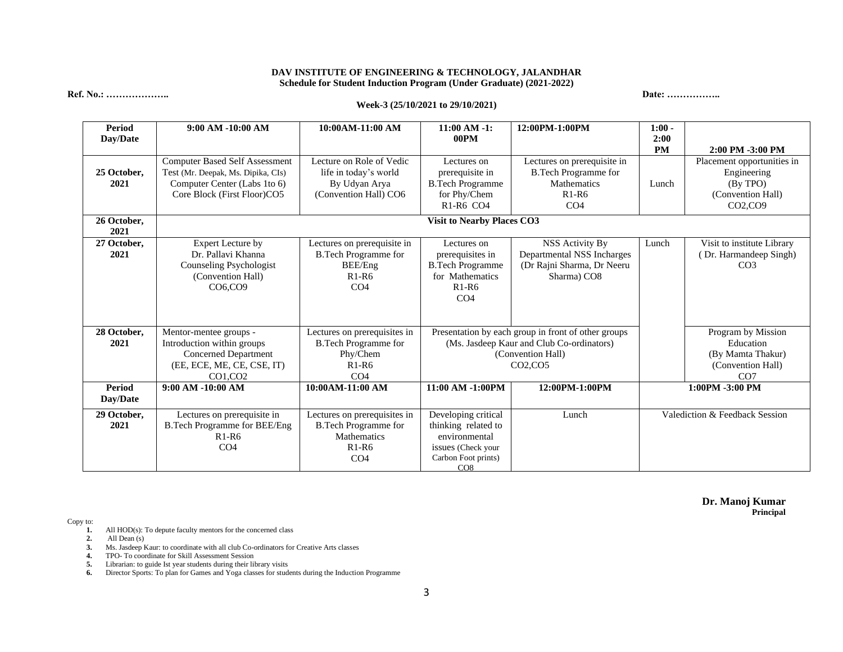#### **DAV INSTITUTE OF ENGINEERING & TECHNOLOGY, JALANDHAR Schedule for Student Induction Program (Under Graduate) (2021-2022)**

**Ref. No.: ……………….. Date: ……………..**

#### **Week-3 (25/10/2021 to 29/10/2021)**

**Period Day/Date 9:00 AM -10:00 AM 10:00AM-11:00 AM 11:00 AM -1: 00PM 12:00PM-1:00PM 1:00 - 2:00 PM 2:00 PM -3:00 PM 25 October, 2021** Computer Based Self Assessment Test (Mr. Deepak, Ms. Dipika, CIs) Computer Center (Labs 1to 6) Core Block (First Floor)CO5 Lecture on Role of Vedic life in today's world By Udyan Arya (Convention Hall) CO6 Lectures on prerequisite in B.Tech Programme for Phy/Chem R1-R6 CO4 Lectures on prerequisite in B.Tech Programme for Mathematics R1-R6 CO4 Lunch Placement opportunities in Engineering (By TPO) (Convention Hall) CO2,CO9 **26 October, 2021 Visit to Nearby Places CO3 27 October, 2021** Expert Lecture by Dr. Pallavi Khanna Counseling Psychologist (Convention Hall) CO6,CO9 Lectures on prerequisite in B.Tech Programme for BEE/Eng R1-R6  $CO<sub>4</sub>$ Lectures on prerequisites in B.Tech Programme for Mathematics R1-R6 CO4 NSS Activity By Departmental NSS Incharges (Dr Rajni Sharma, Dr Neeru Sharma) CO8 Lunch Visit to institute Library ( Dr. Harmandeep Singh) C<sub>O</sub>3 **28 October, 2021** Mentor-mentee groups - Introduction within groups Concerned Department (EE, ECE, ME, CE, CSE, IT) CO1,CO2 Lectures on prerequisites in B.Tech Programme for Phy/Chem R1-R6  $CO<sub>4</sub>$ Presentation by each group in front of other groups (Ms. Jasdeep Kaur and Club Co-ordinators) (Convention Hall) CO2,CO5 Program by Mission Education (By Mamta Thakur) (Convention Hall) CO7 **Period Day/Date 9:00 AM -10:00 AM 10:00AM-11:00 AM 11:00 AM -1:00PM 12:00PM-1:00PM 1:00PM -3:00 PM 29 October, 2021** Lectures on prerequisite in B.Tech Programme for BEE/Eng R1-R6 CO4 Lectures on prerequisites in B.Tech Programme for **Mathematics** R1-R6 CO4 Developing critical thinking related to environmental issues (Check your Carbon Foot prints) CO<sub>8</sub> Lunch Valediction & Feedback Session

> **Dr. Manoj Kumar Principal**

Copy to:

- **1.** All HOD(s): To depute faculty mentors for the concerned class
- **2.** All Dean (s)
- **3.** Ms. Jasdeep Kaur: to coordinate with all club Co-ordinators for Creative Arts classes
- **4.** TPO- To coordinate for Skill Assessment Session
- **5.** Librarian: to guide Ist year students during their library visits
- **6.** Director Sports: To plan for Games and Yoga classes for students during the Induction Programme